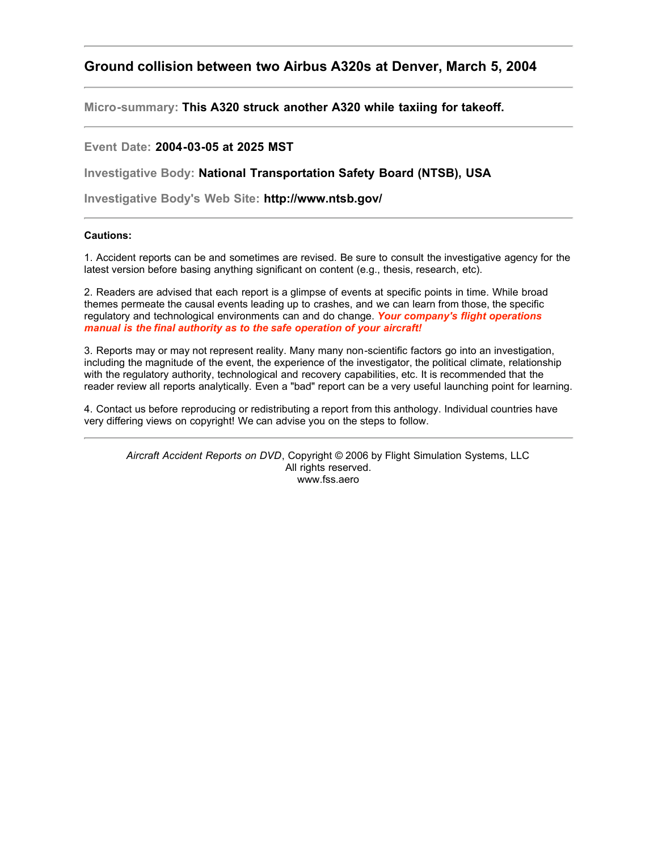## **Ground collision between two Airbus A320s at Denver, March 5, 2004**

**Micro-summary: This A320 struck another A320 while taxiing for takeoff.**

## **Event Date: 2004-03-05 at 2025 MST**

**Investigative Body: National Transportation Safety Board (NTSB), USA**

**Investigative Body's Web Site: http://www.ntsb.gov/**

## **Cautions:**

1. Accident reports can be and sometimes are revised. Be sure to consult the investigative agency for the latest version before basing anything significant on content (e.g., thesis, research, etc).

2. Readers are advised that each report is a glimpse of events at specific points in time. While broad themes permeate the causal events leading up to crashes, and we can learn from those, the specific regulatory and technological environments can and do change. *Your company's flight operations manual is the final authority as to the safe operation of your aircraft!*

3. Reports may or may not represent reality. Many many non-scientific factors go into an investigation, including the magnitude of the event, the experience of the investigator, the political climate, relationship with the regulatory authority, technological and recovery capabilities, etc. It is recommended that the reader review all reports analytically. Even a "bad" report can be a very useful launching point for learning.

4. Contact us before reproducing or redistributing a report from this anthology. Individual countries have very differing views on copyright! We can advise you on the steps to follow.

*Aircraft Accident Reports on DVD*, Copyright © 2006 by Flight Simulation Systems, LLC All rights reserved. www.fss.aero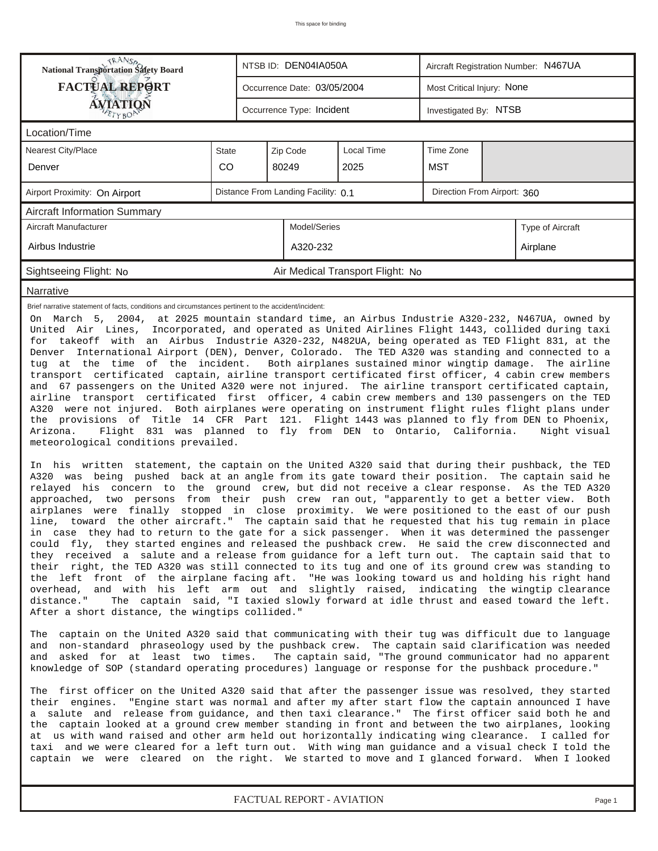*FACTUAL REPORT - AVIATION Page 1*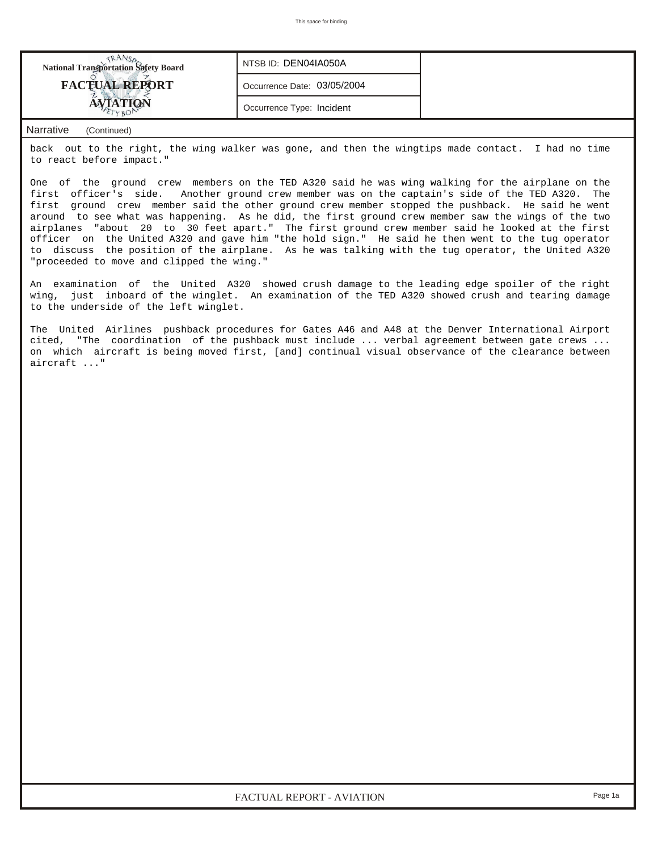| <b>National Transportation Safety Board</b> | NTSB ID: DEN04IA050A        |  |
|---------------------------------------------|-----------------------------|--|
| <b>FACTUAL REPORT</b>                       | Occurrence Date: 03/05/2004 |  |
|                                             | Occurrence Type: Incident   |  |

## *Narrative (Continued)*

back out to the right, the wing walker was gone, and then the wingtips made contact. I had no time to react before impact."

One of the ground crew members on the TED A320 said he was wing walking for the airplane on the first officer's side. Another ground crew member was on the captain's side of the TED A320. The first ground crew member said the other ground crew member stopped the pushback. He said he went around to see what was happening. As he did, the first ground crew member saw the wings of the two airplanes "about 20 to 30 feet apart." The first ground crew member said he looked at the first officer on the United A320 and gave him "the hold sign." He said he then went to the tug operator to discuss the position of the airplane. As he was talking with the tug operator, the United A320 "proceeded to move and clipped the wing."

An examination of the United A320 showed crush damage to the leading edge spoiler of the right wing, just inboard of the winglet. An examination of the TED A320 showed crush and tearing damage to the underside of the left winglet.

The United Airlines pushback procedures for Gates A46 and A48 at the Denver International Airport cited, "The coordination of the pushback must include ... verbal agreement between gate crews ... on which aircraft is being moved first, [and] continual visual observance of the clearance between aircraft ..."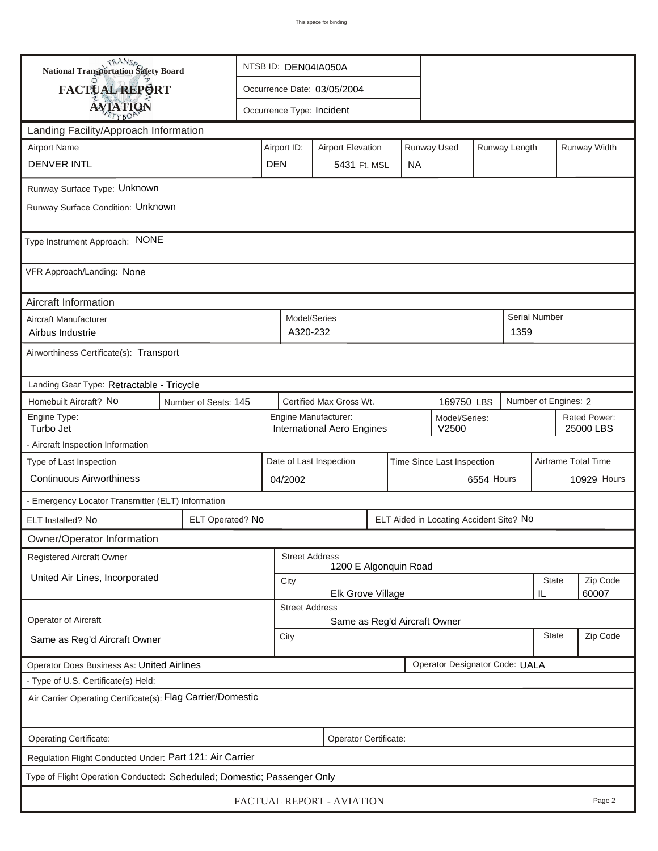| <b>National Transportation Safety Board</b>                                  |                                       | NTSB ID: DEN04IA050A |                                                                              |                           |                                                                         |  |  |                                         |                     |                           |                      |                    |  |
|------------------------------------------------------------------------------|---------------------------------------|----------------------|------------------------------------------------------------------------------|---------------------------|-------------------------------------------------------------------------|--|--|-----------------------------------------|---------------------|---------------------------|----------------------|--------------------|--|
| <b>FACTUAL REPORT</b>                                                        |                                       |                      | Occurrence Date: 03/05/2004                                                  |                           |                                                                         |  |  |                                         |                     |                           |                      |                    |  |
| <b>AVIATION</b>                                                              |                                       |                      |                                                                              | Occurrence Type: Incident |                                                                         |  |  |                                         |                     |                           |                      |                    |  |
| Landing Facility/Approach Information                                        |                                       |                      |                                                                              |                           |                                                                         |  |  |                                         |                     |                           |                      |                    |  |
| <b>Airport Name</b>                                                          |                                       |                      |                                                                              |                           | Runway Used<br>Airport ID:<br>Runway Length<br><b>Airport Elevation</b> |  |  |                                         |                     |                           |                      | Runway Width       |  |
| <b>DENVER INTL</b>                                                           |                                       |                      |                                                                              |                           | <b>DEN</b><br>5431 Ft. MSL<br><b>NA</b>                                 |  |  |                                         |                     |                           |                      |                    |  |
| Runway Surface Type: Unknown                                                 |                                       |                      |                                                                              |                           |                                                                         |  |  |                                         |                     |                           |                      |                    |  |
| Runway Surface Condition: Unknown                                            |                                       |                      |                                                                              |                           |                                                                         |  |  |                                         |                     |                           |                      |                    |  |
| Type Instrument Approach: NONE                                               |                                       |                      |                                                                              |                           |                                                                         |  |  |                                         |                     |                           |                      |                    |  |
| VFR Approach/Landing: None                                                   |                                       |                      |                                                                              |                           |                                                                         |  |  |                                         |                     |                           |                      |                    |  |
| Aircraft Information                                                         |                                       |                      |                                                                              |                           |                                                                         |  |  |                                         |                     |                           |                      |                    |  |
| Aircraft Manufacturer<br>Airbus Industrie                                    |                                       |                      |                                                                              | Model/Series<br>A320-232  |                                                                         |  |  |                                         |                     | 1359                      | <b>Serial Number</b> |                    |  |
| Airworthiness Certificate(s): Transport                                      |                                       |                      |                                                                              |                           |                                                                         |  |  |                                         |                     |                           |                      |                    |  |
| Landing Gear Type: Retractable - Tricycle                                    |                                       |                      |                                                                              |                           |                                                                         |  |  |                                         |                     |                           |                      |                    |  |
| Homebuilt Aircraft? No<br>Number of Seats: 145                               | Certified Max Gross Wt.<br>169750 LBS |                      |                                                                              |                           |                                                                         |  |  | Number of Engines: 2                    |                     |                           |                      |                    |  |
| Engine Type:<br>Turbo Jet                                                    |                                       |                      | Engine Manufacturer:<br>Model/Series:<br>V2500<br>International Aero Engines |                           |                                                                         |  |  |                                         |                     | Rated Power:<br>25000 LBS |                      |                    |  |
| - Aircraft Inspection Information                                            |                                       |                      |                                                                              |                           |                                                                         |  |  |                                         |                     |                           |                      |                    |  |
| Type of Last Inspection                                                      |                                       |                      | Date of Last Inspection<br>Time Since Last Inspection                        |                           |                                                                         |  |  |                                         | Airframe Total Time |                           |                      |                    |  |
| <b>Continuous Airworthiness</b>                                              |                                       |                      | 04/2002                                                                      |                           |                                                                         |  |  | 6554 Hours                              |                     |                           |                      | <b>10929 Hours</b> |  |
| - Emergency Locator Transmitter (ELT) Information                            |                                       |                      |                                                                              |                           |                                                                         |  |  |                                         |                     |                           |                      |                    |  |
| ELT Installed? No                                                            | ELT Operated? No                      |                      |                                                                              |                           |                                                                         |  |  | ELT Aided in Locating Accident Site? No |                     |                           |                      |                    |  |
| Owner/Operator Information                                                   |                                       |                      |                                                                              |                           |                                                                         |  |  |                                         |                     |                           |                      |                    |  |
| Registered Aircraft Owner                                                    |                                       |                      |                                                                              | <b>Street Address</b>     | 1200 E Algonquin Road                                                   |  |  |                                         |                     |                           |                      |                    |  |
| United Air Lines, Incorporated                                               |                                       |                      | City                                                                         |                           |                                                                         |  |  |                                         |                     | <b>State</b>              | Zip Code             |                    |  |
|                                                                              |                                       |                      | 60007<br>Elk Grove Village<br>IL<br><b>Street Address</b>                    |                           |                                                                         |  |  |                                         |                     |                           |                      |                    |  |
| Operator of Aircraft                                                         |                                       |                      | Same as Reg'd Aircraft Owner                                                 |                           |                                                                         |  |  |                                         |                     |                           |                      |                    |  |
| Same as Reg'd Aircraft Owner                                                 |                                       |                      |                                                                              | City                      |                                                                         |  |  |                                         |                     | <b>State</b>              | Zip Code             |                    |  |
| Operator Designator Code: UALA<br>Operator Does Business As: United Airlines |                                       |                      |                                                                              |                           |                                                                         |  |  |                                         |                     |                           |                      |                    |  |
| - Type of U.S. Certificate(s) Held:                                          |                                       |                      |                                                                              |                           |                                                                         |  |  |                                         |                     |                           |                      |                    |  |
| Air Carrier Operating Certificate(s): Flag Carrier/Domestic                  |                                       |                      |                                                                              |                           |                                                                         |  |  |                                         |                     |                           |                      |                    |  |
| Operating Certificate:<br>Operator Certificate:                              |                                       |                      |                                                                              |                           |                                                                         |  |  |                                         |                     |                           |                      |                    |  |
| Regulation Flight Conducted Under: Part 121: Air Carrier                     |                                       |                      |                                                                              |                           |                                                                         |  |  |                                         |                     |                           |                      |                    |  |
| Type of Flight Operation Conducted: Scheduled; Domestic; Passenger Only      |                                       |                      |                                                                              |                           |                                                                         |  |  |                                         |                     |                           |                      |                    |  |
| FACTUAL REPORT - AVIATION<br>Page 2                                          |                                       |                      |                                                                              |                           |                                                                         |  |  |                                         |                     |                           |                      |                    |  |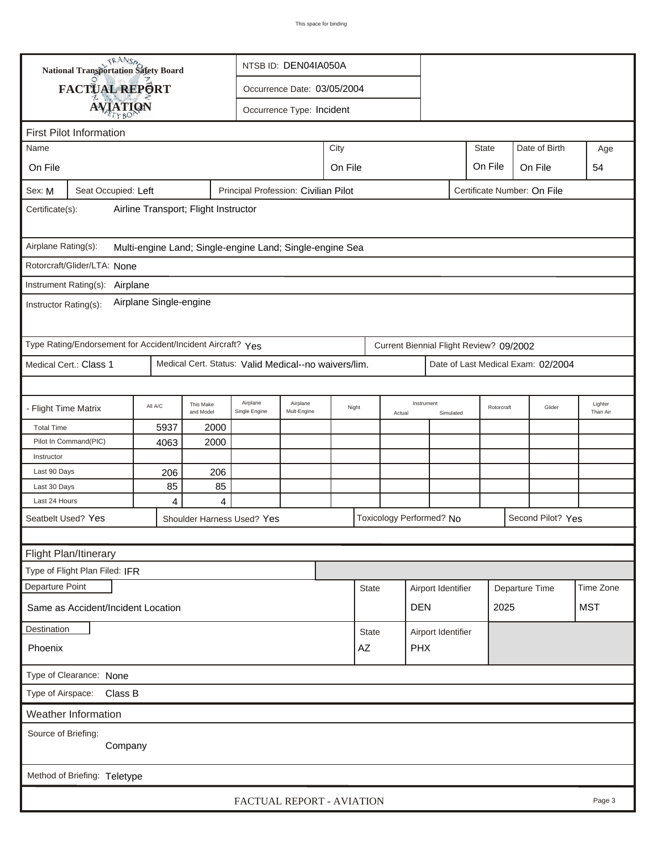| <b>National Transportation Safety Board</b>                                                          |                                                             |         |                        | NTSB ID: DEN04IA050A                                 |                         |         |              |                      |                          |                    |                                         |                                    |  |                     |
|------------------------------------------------------------------------------------------------------|-------------------------------------------------------------|---------|------------------------|------------------------------------------------------|-------------------------|---------|--------------|----------------------|--------------------------|--------------------|-----------------------------------------|------------------------------------|--|---------------------|
|                                                                                                      | FACTUAL REPORT                                              |         |                        | Occurrence Date: 03/05/2004                          |                         |         |              |                      |                          |                    |                                         |                                    |  |                     |
|                                                                                                      |                                                             |         |                        |                                                      |                         |         |              |                      |                          |                    |                                         |                                    |  |                     |
| <b>AVIATION</b><br>Occurrence Type: Incident                                                         |                                                             |         |                        |                                                      |                         |         |              |                      |                          |                    |                                         |                                    |  |                     |
| <b>First Pilot Information</b><br><b>State</b>                                                       |                                                             |         |                        |                                                      |                         |         |              |                      |                          |                    |                                         |                                    |  |                     |
| City<br>Name                                                                                         |                                                             |         |                        |                                                      |                         |         |              |                      | Date of Birth            |                    | Age                                     |                                    |  |                     |
| On File                                                                                              |                                                             |         |                        |                                                      |                         | On File |              |                      |                          |                    | On File                                 | On File                            |  | 54                  |
| Principal Profession: Civilian Pilot<br>Seat Occupied: Left<br>Certificate Number: On File<br>Sex: M |                                                             |         |                        |                                                      |                         |         |              |                      |                          |                    |                                         |                                    |  |                     |
| Airline Transport; Flight Instructor<br>Certificate(s):                                              |                                                             |         |                        |                                                      |                         |         |              |                      |                          |                    |                                         |                                    |  |                     |
| Airplane Rating(s):<br>Multi-engine Land; Single-engine Land; Single-engine Sea                      |                                                             |         |                        |                                                      |                         |         |              |                      |                          |                    |                                         |                                    |  |                     |
|                                                                                                      | Rotorcraft/Glider/LTA: None                                 |         |                        |                                                      |                         |         |              |                      |                          |                    |                                         |                                    |  |                     |
|                                                                                                      | Instrument Rating(s):<br>Airplane                           |         |                        |                                                      |                         |         |              |                      |                          |                    |                                         |                                    |  |                     |
| Airplane Single-engine<br>Instructor Rating(s):                                                      |                                                             |         |                        |                                                      |                         |         |              |                      |                          |                    |                                         |                                    |  |                     |
|                                                                                                      | Type Rating/Endorsement for Accident/Incident Aircraft? Yes |         |                        |                                                      |                         |         |              |                      |                          |                    | Current Biennial Flight Review? 09/2002 |                                    |  |                     |
|                                                                                                      | Medical Cert.: Class 1                                      |         |                        | Medical Cert. Status: Valid Medical--no waivers/lim. |                         |         |              |                      |                          |                    |                                         | Date of Last Medical Exam: 02/2004 |  |                     |
|                                                                                                      |                                                             |         |                        |                                                      |                         |         |              |                      |                          |                    |                                         |                                    |  |                     |
| - Flight Time Matrix                                                                                 |                                                             | All A/C | This Make<br>and Model | Airplane<br>Single Engine                            | Airplane<br>Mult-Engine | Night   |              | Instrument<br>Actual |                          | Simulated          | Rotorcraft                              | Glider                             |  | Lighter<br>Than Air |
| <b>Total Time</b>                                                                                    |                                                             | 5937    | 2000                   |                                                      |                         |         |              |                      |                          |                    |                                         |                                    |  |                     |
|                                                                                                      | Pilot In Command(PIC)                                       | 4063    | 2000                   |                                                      |                         |         |              |                      |                          |                    |                                         |                                    |  |                     |
| Instructor                                                                                           |                                                             |         |                        |                                                      |                         |         |              |                      |                          |                    |                                         |                                    |  |                     |
| Last 90 Days                                                                                         |                                                             | 206     | 206                    |                                                      |                         |         |              |                      |                          |                    |                                         |                                    |  |                     |
| Last 30 Days                                                                                         |                                                             | 85      | 85                     |                                                      |                         |         |              |                      |                          |                    |                                         |                                    |  |                     |
| Last 24 Hours                                                                                        |                                                             | 4       | $\overline{4}$         |                                                      |                         |         |              |                      |                          |                    |                                         |                                    |  |                     |
|                                                                                                      | Seatbelt Used? Yes                                          |         |                        | Shoulder Harness Used? Yes                           |                         |         |              |                      | Toxicology Performed? No |                    |                                         | Second Pilot? Yes                  |  |                     |
|                                                                                                      |                                                             |         |                        |                                                      |                         |         |              |                      |                          |                    |                                         |                                    |  |                     |
|                                                                                                      | Flight Plan/Itinerary                                       |         |                        |                                                      |                         |         |              |                      |                          |                    |                                         |                                    |  |                     |
|                                                                                                      | Type of Flight Plan Filed: IFR                              |         |                        |                                                      |                         |         |              |                      |                          |                    |                                         |                                    |  |                     |
| Departure Point                                                                                      |                                                             |         |                        |                                                      |                         |         | <b>State</b> |                      | Airport Identifier       |                    | Departure Time                          |                                    |  | Time Zone           |
|                                                                                                      | Same as Accident/Incident Location                          |         |                        |                                                      |                         |         |              |                      | <b>DEN</b>               |                    |                                         | 2025                               |  | <b>MST</b>          |
| Destination                                                                                          |                                                             |         |                        |                                                      |                         |         |              | <b>State</b>         |                          | Airport Identifier |                                         |                                    |  |                     |
| Phoenix                                                                                              |                                                             |         |                        |                                                      |                         |         | AZ           |                      | <b>PHX</b>               |                    |                                         |                                    |  |                     |
| Type of Clearance: None                                                                              |                                                             |         |                        |                                                      |                         |         |              |                      |                          |                    |                                         |                                    |  |                     |
| Type of Airspace: Class B                                                                            |                                                             |         |                        |                                                      |                         |         |              |                      |                          |                    |                                         |                                    |  |                     |
|                                                                                                      | Weather Information                                         |         |                        |                                                      |                         |         |              |                      |                          |                    |                                         |                                    |  |                     |
| Source of Briefing:<br>Company                                                                       |                                                             |         |                        |                                                      |                         |         |              |                      |                          |                    |                                         |                                    |  |                     |
| Method of Briefing: Teletype                                                                         |                                                             |         |                        |                                                      |                         |         |              |                      |                          |                    |                                         |                                    |  |                     |
| FACTUAL REPORT - AVIATION<br>Page 3                                                                  |                                                             |         |                        |                                                      |                         |         |              |                      |                          |                    |                                         |                                    |  |                     |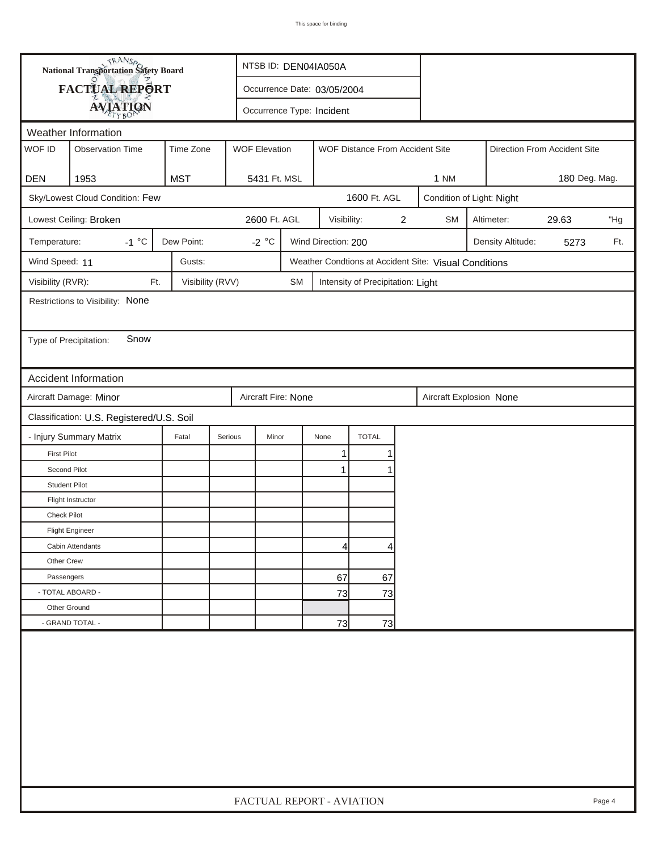| <b>National Transportation Safety Board</b> |                                           | NTSB ID: DEN04IA050A      |                             |                                                         |                         |                                   |  |                         |                           |                              |               |  |  |  |
|---------------------------------------------|-------------------------------------------|---------------------------|-----------------------------|---------------------------------------------------------|-------------------------|-----------------------------------|--|-------------------------|---------------------------|------------------------------|---------------|--|--|--|
| FACTUAL REPORT                              |                                           |                           | Occurrence Date: 03/05/2004 |                                                         |                         |                                   |  |                         |                           |                              |               |  |  |  |
|                                             | <b>AVIATION</b>                           | Occurrence Type: Incident |                             |                                                         |                         |                                   |  |                         |                           |                              |               |  |  |  |
|                                             | Weather Information                       |                           |                             |                                                         |                         |                                   |  |                         |                           |                              |               |  |  |  |
| WOF ID                                      | <b>Observation Time</b>                   | Time Zone                 |                             | <b>WOF Elevation</b><br>WOF Distance From Accident Site |                         |                                   |  |                         |                           | Direction From Accident Site |               |  |  |  |
|                                             |                                           |                           |                             |                                                         |                         |                                   |  |                         |                           |                              |               |  |  |  |
| <b>DEN</b>                                  | 1953                                      | <b>MST</b>                | 5431 Ft. MSL                |                                                         |                         |                                   |  | 1 NM                    |                           |                              | 180 Deg. Mag. |  |  |  |
|                                             | Sky/Lowest Cloud Condition: Few           |                           | 1600 Ft. AGL                |                                                         |                         |                                   |  |                         | Condition of Light: Night |                              |               |  |  |  |
| Lowest Ceiling: Broken                      | 2600 Ft. AGL                              |                           | Visibility:                 |                                                         | $\overline{\mathbf{c}}$ | <b>SM</b>                         |  | Altimeter:              | 29.63                     | "Hg                          |               |  |  |  |
| Temperature:                                | $-1 °C$                                   | Dew Point:                | -2 $^{\circ}$ C             |                                                         | Wind Direction: 200     |                                   |  |                         | Density Altitude:         | 5273                         | Ft.           |  |  |  |
| Wind Speed: 11                              |                                           | Gusts:                    |                             | Weather Condtions at Accident Site: Visual Conditions   |                         |                                   |  |                         |                           |                              |               |  |  |  |
| Visibility (RVR):                           | Ft.                                       | Visibility (RVV)          |                             | <b>SM</b>                                               |                         | Intensity of Precipitation: Light |  |                         |                           |                              |               |  |  |  |
|                                             | Restrictions to Visibility: None          |                           |                             |                                                         |                         |                                   |  |                         |                           |                              |               |  |  |  |
|                                             |                                           |                           |                             |                                                         |                         |                                   |  |                         |                           |                              |               |  |  |  |
| Type of Precipitation:                      | Snow                                      |                           |                             |                                                         |                         |                                   |  |                         |                           |                              |               |  |  |  |
|                                             |                                           |                           |                             |                                                         |                         |                                   |  |                         |                           |                              |               |  |  |  |
|                                             | Accident Information                      |                           |                             |                                                         |                         |                                   |  |                         |                           |                              |               |  |  |  |
|                                             | Aircraft Damage: Minor                    |                           | Aircraft Fire: None         |                                                         |                         |                                   |  | Aircraft Explosion None |                           |                              |               |  |  |  |
|                                             | Classification: U.S. Registered/U.S. Soil |                           |                             |                                                         |                         |                                   |  |                         |                           |                              |               |  |  |  |
|                                             | - Injury Summary Matrix                   | Fatal                     | Serious<br>Minor            |                                                         | None                    | <b>TOTAL</b>                      |  |                         |                           |                              |               |  |  |  |
| <b>First Pilot</b>                          |                                           |                           |                             |                                                         | $\mathbf{1}$            | 1                                 |  |                         |                           |                              |               |  |  |  |
| Second Pilot                                |                                           |                           |                             |                                                         | 1                       |                                   |  |                         |                           |                              |               |  |  |  |
| <b>Student Pilot</b>                        |                                           |                           |                             |                                                         |                         |                                   |  |                         |                           |                              |               |  |  |  |
|                                             | Flight Instructor                         |                           |                             |                                                         |                         |                                   |  |                         |                           |                              |               |  |  |  |
| <b>Check Pilot</b>                          |                                           |                           |                             |                                                         |                         |                                   |  |                         |                           |                              |               |  |  |  |
|                                             | <b>Flight Engineer</b>                    |                           |                             |                                                         |                         |                                   |  |                         |                           |                              |               |  |  |  |
|                                             | Cabin Attendants                          |                           |                             |                                                         | 4                       | 4                                 |  |                         |                           |                              |               |  |  |  |
| Other Crew                                  |                                           |                           |                             |                                                         |                         |                                   |  |                         |                           |                              |               |  |  |  |
| Passengers                                  |                                           |                           |                             |                                                         | 67                      | 67                                |  |                         |                           |                              |               |  |  |  |
|                                             | - TOTAL ABOARD -                          |                           |                             |                                                         | 73                      | 73                                |  |                         |                           |                              |               |  |  |  |
| Other Ground                                |                                           |                           |                             |                                                         |                         |                                   |  |                         |                           |                              |               |  |  |  |
|                                             | - GRAND TOTAL -                           |                           |                             | 73<br>73                                                |                         |                                   |  |                         |                           |                              |               |  |  |  |
|                                             |                                           |                           |                             |                                                         |                         |                                   |  |                         |                           |                              |               |  |  |  |
|                                             | FACTUAL REPORT - AVIATION<br>Page 4       |                           |                             |                                                         |                         |                                   |  |                         |                           |                              |               |  |  |  |